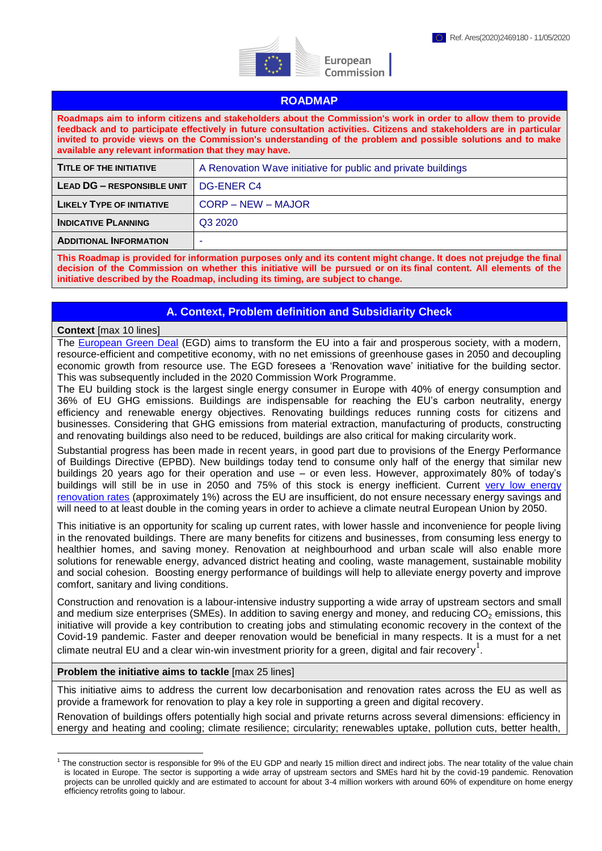

European Commission

## **ROADMAP**

**Roadmaps aim to inform citizens and stakeholders about the Commission's work in order to allow them to provide feedback and to participate effectively in future consultation activities. Citizens and stakeholders are in particular invited to provide views on the Commission's understanding of the problem and possible solutions and to make available any relevant information that they may have.** 

| <b>TITLE OF THE INITIATIVE</b>    | A Renovation Wave initiative for public and private buildings |
|-----------------------------------|---------------------------------------------------------------|
| <b>LEAD DG - RESPONSIBLE UNIT</b> | DG-ENER C4                                                    |
| <b>LIKELY TYPE OF INITIATIVE</b>  | <b>CORP – NEW – MAJOR</b>                                     |
| <b>INDICATIVE PLANNING</b>        | Q3 2020                                                       |
| <b>ADDITIONAL INFORMATION</b>     | ۰                                                             |
|                                   |                                                               |

**This Roadmap is provided for information purposes only and its content might change. It does not prejudge the final decision of the Commission on whether this initiative will be pursued or on its final content. All elements of the initiative described by the Roadmap, including its timing, are subject to change.**

# **A. Context, Problem definition and Subsidiarity Check**

#### **Context** [max 10 lines]

The [European Green Deal](https://ec.europa.eu/info/strategy/priorities-2019-2024/european-green-deal_en) (EGD) aims to transform the EU into a fair and prosperous society, with a modern, resource-efficient and competitive economy, with no net emissions of greenhouse gases in 2050 and decoupling economic growth from resource use. The EGD foresees a 'Renovation wave' initiative for the building sector. This was subsequently included in the 2020 Commission Work Programme.

The EU building stock is the largest single energy consumer in Europe with 40% of energy consumption and 36% of EU GHG emissions. Buildings are indispensable for reaching the EU's carbon neutrality, energy efficiency and renewable energy objectives. Renovating buildings reduces running costs for citizens and businesses. Considering that GHG emissions from material extraction, manufacturing of products, constructing and renovating buildings also need to be reduced, buildings are also critical for making circularity work.

Substantial progress has been made in recent years, in good part due to provisions of the Energy Performance of Buildings Directive (EPBD). New buildings today tend to consume only half of the energy that similar new buildings 20 years ago for their operation and use – or even less. However, approximately 80% of today's buildings will still be in use in 2050 and 75% of this stock is energy inefficient. Current [very low energy](https://ec.europa.eu/energy/studies/comprehensive-study-building-energy-renovation-activities-and-uptake-nearly-zero-energy_en)  [renovation rates](https://ec.europa.eu/energy/studies/comprehensive-study-building-energy-renovation-activities-and-uptake-nearly-zero-energy_en) (approximately 1%) across the EU are insufficient, do not ensure necessary energy savings and will need to at least double in the coming years in order to achieve a climate neutral European Union by 2050.

This initiative is an opportunity for scaling up current rates, with lower hassle and inconvenience for people living in the renovated buildings. There are many benefits for citizens and businesses, from consuming less energy to healthier homes, and saving money. Renovation at neighbourhood and urban scale will also enable more solutions for renewable energy, advanced district heating and cooling, waste management, sustainable mobility and social cohesion. Boosting energy performance of buildings will help to alleviate energy poverty and improve comfort, sanitary and living conditions.

Construction and renovation is a labour-intensive industry supporting a wide array of upstream sectors and small and medium size enterprises (SMEs). In addition to saving energy and money, and reducing  $CO<sub>2</sub>$  emissions, this initiative will provide a key contribution to creating jobs and stimulating economic recovery in the context of the Covid-19 pandemic. Faster and deeper renovation would be beneficial in many respects. It is a must for a net climate neutral EU and a clear win-win investment priority for a green, digital and fair recovery<sup>1</sup>.

#### **Problem the initiative aims to tackle** [max 25 lines]

1

This initiative aims to address the current low decarbonisation and renovation rates across the EU as well as provide a framework for renovation to play a key role in supporting a green and digital recovery.

Renovation of buildings offers potentially high social and private returns across several dimensions: efficiency in energy and heating and cooling; climate resilience; circularity; renewables uptake, pollution cuts, better health,

<sup>&</sup>lt;sup>1</sup> The construction sector is responsible for 9% of the EU GDP and nearly 15 million direct and indirect jobs. The near totality of the value chain is located in Europe. The sector is supporting a wide array of upstream sectors and SMEs hard hit by the covid-19 pandemic. Renovation projects can be unrolled quickly and are estimated to account for about 3-4 million workers with around 60% of expenditure on home energy efficiency retrofits going to labour.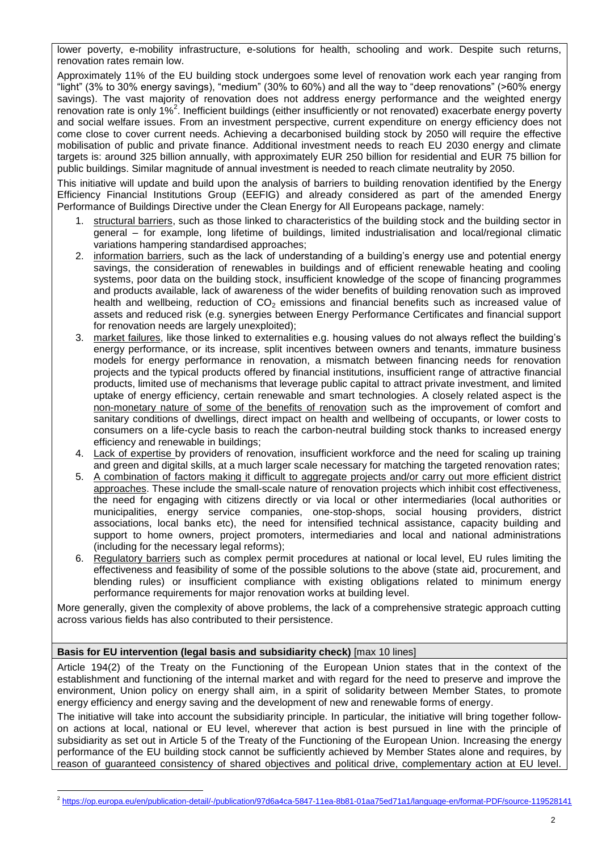lower poverty, e-mobility infrastructure, e-solutions for health, schooling and work. Despite such returns, renovation rates remain low.

Approximately 11% of the EU building stock undergoes some level of renovation work each year ranging from "light" (3% to 30% energy savings), "medium" (30% to 60%) and all the way to "deep renovations" (>60% energy savings). The vast majority of renovation does not address energy performance and the weighted energy renovation rate is only 1%<sup>2</sup>. Inefficient buildings (either insufficiently or not renovated) exacerbate energy poverty and social welfare issues. From an investment perspective, current expenditure on energy efficiency does not come close to cover current needs. Achieving a decarbonised building stock by 2050 will require the effective mobilisation of public and private finance. Additional investment needs to reach EU 2030 energy and climate targets is: around 325 billion annually, with approximately EUR 250 billion for residential and EUR 75 billion for public buildings. Similar magnitude of annual investment is needed to reach climate neutrality by 2050.

This initiative will update and build upon the analysis of barriers to building renovation identified by the Energy Efficiency Financial Institutions Group (EEFIG) and already considered as part of the amended Energy Performance of Buildings Directive under the Clean Energy for All Europeans package, namely:

- 1. structural barriers, such as those linked to characteristics of the building stock and the building sector in general – for example, long lifetime of buildings, limited industrialisation and local/regional climatic variations hampering standardised approaches;
- 2. information barriers, such as the lack of understanding of a building's energy use and potential energy savings, the consideration of renewables in buildings and of efficient renewable heating and cooling systems, poor data on the building stock, insufficient knowledge of the scope of financing programmes and products available, lack of awareness of the wider benefits of building renovation such as improved health and wellbeing, reduction of  $CO<sub>2</sub>$  emissions and financial benefits such as increased value of assets and reduced risk (e.g. synergies between Energy Performance Certificates and financial support for renovation needs are largely unexploited);
- 3. market failures, like those linked to externalities e.g. housing values do not always reflect the building's energy performance, or its increase, split incentives between owners and tenants, immature business models for energy performance in renovation, a mismatch between financing needs for renovation projects and the typical products offered by financial institutions, insufficient range of attractive financial products, limited use of mechanisms that leverage public capital to attract private investment, and limited uptake of energy efficiency, certain renewable and smart technologies. A closely related aspect is the non-monetary nature of some of the benefits of renovation such as the improvement of comfort and sanitary conditions of dwellings, direct impact on health and wellbeing of occupants, or lower costs to consumers on a life-cycle basis to reach the carbon-neutral building stock thanks to increased energy efficiency and renewable in buildings;
- 4. Lack of expertise by providers of renovation, insufficient workforce and the need for scaling up training and green and digital skills, at a much larger scale necessary for matching the targeted renovation rates;
- 5. A combination of factors making it difficult to aggregate projects and/or carry out more efficient district approaches. These include the small-scale nature of renovation projects which inhibit cost effectiveness, the need for engaging with citizens directly or via local or other intermediaries (local authorities or municipalities, energy service companies, one-stop-shops, social housing providers, district associations, local banks etc), the need for intensified technical assistance, capacity building and support to home owners, project promoters, intermediaries and local and national administrations (including for the necessary legal reforms);
- 6. Regulatory barriers such as complex permit procedures at national or local level, EU rules limiting the effectiveness and feasibility of some of the possible solutions to the above (state aid, procurement, and blending rules) or insufficient compliance with existing obligations related to minimum energy performance requirements for major renovation works at building level.

More generally, given the complexity of above problems, the lack of a comprehensive strategic approach cutting across various fields has also contributed to their persistence.

## **Basis for EU intervention (legal basis and subsidiarity check)** [max 10 lines]

Article 194(2) of the Treaty on the Functioning of the European Union states that in the context of the establishment and functioning of the internal market and with regard for the need to preserve and improve the environment, Union policy on energy shall aim, in a spirit of solidarity between Member States, to promote energy efficiency and energy saving and the development of new and renewable forms of energy.

The initiative will take into account the subsidiarity principle. In particular, the initiative will bring together followon actions at local, national or EU level, wherever that action is best pursued in line with the principle of subsidiarity as set out in Article 5 of the Treaty of the Functioning of the European Union. Increasing the energy performance of the EU building stock cannot be sufficiently achieved by Member States alone and requires, by reason of guaranteed consistency of shared objectives and political drive, complementary action at EU level.

<sup>1</sup> <sup>2</sup> <https://op.europa.eu/en/publication-detail/-/publication/97d6a4ca-5847-11ea-8b81-01aa75ed71a1/language-en/format-PDF/source-119528141>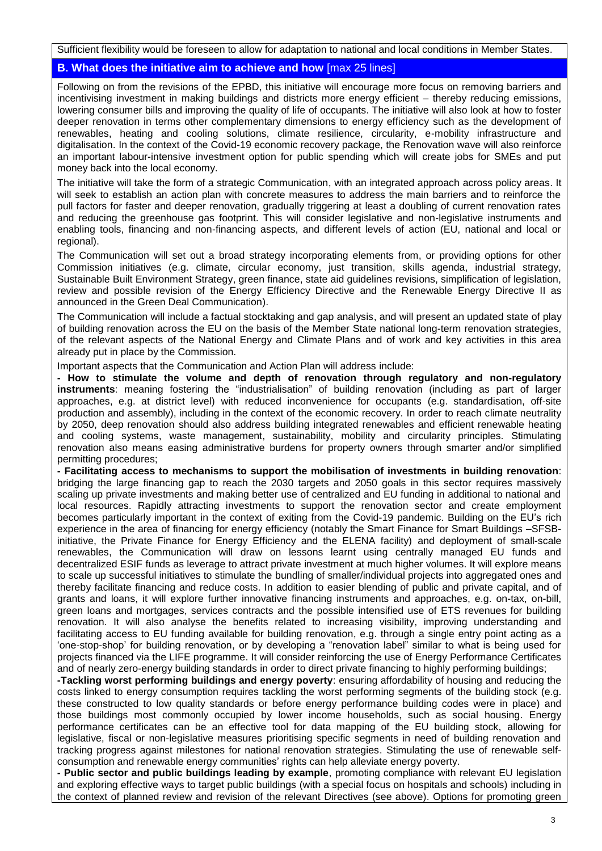Sufficient flexibility would be foreseen to allow for adaptation to national and local conditions in Member States.

### **B. What does the initiative aim to achieve and how** [max 25 lines]

Following on from the revisions of the EPBD, this initiative will encourage more focus on removing barriers and incentivising investment in making buildings and districts more energy efficient – thereby reducing emissions, lowering consumer bills and improving the quality of life of occupants. The initiative will also look at how to foster deeper renovation in terms other complementary dimensions to energy efficiency such as the development of renewables, heating and cooling solutions, climate resilience, circularity, e-mobility infrastructure and digitalisation. In the context of the Covid-19 economic recovery package, the Renovation wave will also reinforce an important labour-intensive investment option for public spending which will create jobs for SMEs and put money back into the local economy.

The initiative will take the form of a strategic Communication, with an integrated approach across policy areas. It will seek to establish an action plan with concrete measures to address the main barriers and to reinforce the pull factors for faster and deeper renovation, gradually triggering at least a doubling of current renovation rates and reducing the greenhouse gas footprint. This will consider legislative and non-legislative instruments and enabling tools, financing and non-financing aspects, and different levels of action (EU, national and local or regional).

The Communication will set out a broad strategy incorporating elements from, or providing options for other Commission initiatives (e.g. climate, circular economy, just transition, skills agenda, industrial strategy, Sustainable Built Environment Strategy, green finance, state aid guidelines revisions, simplification of legislation, review and possible revision of the Energy Efficiency Directive and the Renewable Energy Directive II as announced in the Green Deal Communication).

The Communication will include a factual stocktaking and gap analysis, and will present an updated state of play of building renovation across the EU on the basis of the Member State national long-term renovation strategies, of the relevant aspects of the National Energy and Climate Plans and of work and key activities in this area already put in place by the Commission.

Important aspects that the Communication and Action Plan will address include:

**- How to stimulate the volume and depth of renovation through regulatory and non-regulatory instruments**: meaning fostering the "industrialisation" of building renovation (including as part of larger approaches, e.g. at district level) with reduced inconvenience for occupants (e.g. standardisation, off-site production and assembly), including in the context of the economic recovery. In order to reach climate neutrality by 2050, deep renovation should also address building integrated renewables and efficient renewable heating and cooling systems, waste management, sustainability, mobility and circularity principles. Stimulating renovation also means easing administrative burdens for property owners through smarter and/or simplified permitting procedures;

**- Facilitating access to mechanisms to support the mobilisation of investments in building renovation**: bridging the large financing gap to reach the 2030 targets and 2050 goals in this sector requires massively scaling up private investments and making better use of centralized and EU funding in additional to national and local resources. Rapidly attracting investments to support the renovation sector and create employment becomes particularly important in the context of exiting from the Covid-19 pandemic. Building on the EU's rich experience in the area of financing for energy efficiency (notably the Smart Finance for Smart Buildings –SFSBinitiative, the Private Finance for Energy Efficiency and the ELENA facility) and deployment of small-scale renewables, the Communication will draw on lessons learnt using centrally managed EU funds and decentralized ESIF funds as leverage to attract private investment at much higher volumes. It will explore means to scale up successful initiatives to stimulate the bundling of smaller/individual projects into aggregated ones and thereby facilitate financing and reduce costs. In addition to easier blending of public and private capital, and of grants and loans, it will explore further innovative financing instruments and approaches, e.g. on-tax, on-bill, green loans and mortgages, services contracts and the possible intensified use of ETS revenues for building renovation. It will also analyse the benefits related to increasing visibility, improving understanding and facilitating access to EU funding available for building renovation, e.g. through a single entry point acting as a 'one-stop-shop' for building renovation, or by developing a "renovation label" similar to what is being used for projects financed via the LIFE programme. It will consider reinforcing the use of Energy Performance Certificates and of nearly zero-energy building standards in order to direct private financing to highly performing buildings;

**-Tackling worst performing buildings and energy poverty**: ensuring affordability of housing and reducing the costs linked to energy consumption requires tackling the worst performing segments of the building stock (e.g. these constructed to low quality standards or before energy performance building codes were in place) and those buildings most commonly occupied by lower income households, such as social housing. Energy performance certificates can be an effective tool for data mapping of the EU building stock, allowing for legislative, fiscal or non-legislative measures prioritising specific segments in need of building renovation and tracking progress against milestones for national renovation strategies. Stimulating the use of renewable selfconsumption and renewable energy communities' rights can help alleviate energy poverty.

**- Public sector and public buildings leading by example**, promoting compliance with relevant EU legislation and exploring effective ways to target public buildings (with a special focus on hospitals and schools) including in the context of planned review and revision of the relevant Directives (see above). Options for promoting green